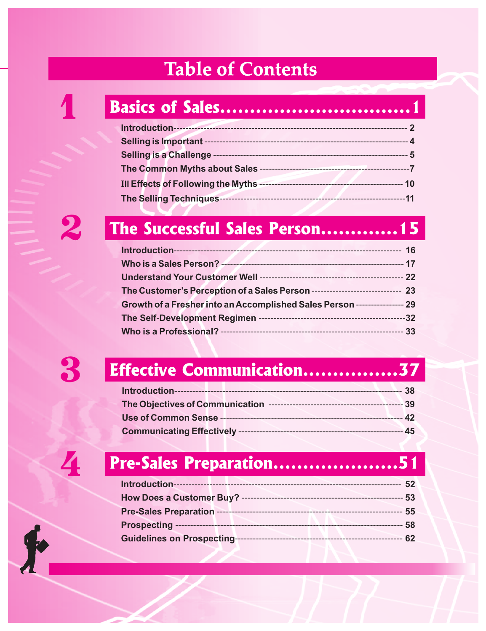| <b>Table of Contents</b>       |  |
|--------------------------------|--|
|                                |  |
|                                |  |
|                                |  |
|                                |  |
|                                |  |
|                                |  |
|                                |  |
|                                |  |
|                                |  |
| The Successful Sales Person 15 |  |

| The Customer's Perception of a Sales Person ----------------------------- 23 |  |
|------------------------------------------------------------------------------|--|
| Growth of a Fresher into an Accomplished Sales Person ---------------- 29    |  |
|                                                                              |  |
|                                                                              |  |

 $\mathbf{f}$ 

# 3 **Effective Communication................37**

# 4 **Pre-Sales Preparation.....................51**

|                                   | 52     |
|-----------------------------------|--------|
|                                   |        |
|                                   | $55\,$ |
|                                   | 58     |
| <b>Guidelines on Prospecting-</b> | 62     |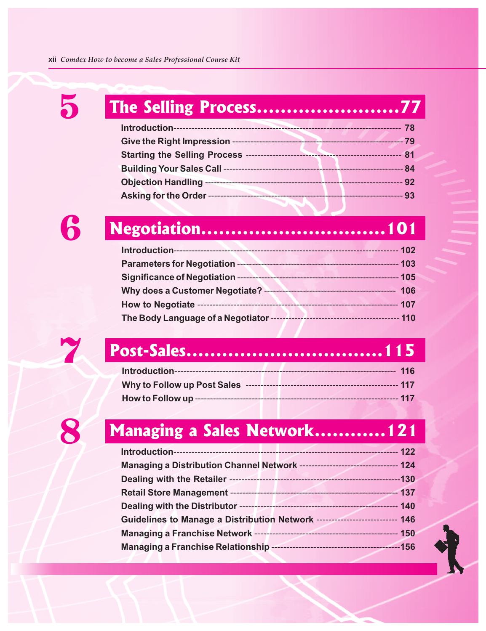| 5 | The Selling Process77 |  |
|---|-----------------------|--|
|   |                       |  |
|   |                       |  |
|   |                       |  |
|   |                       |  |
|   |                       |  |
|   |                       |  |
|   |                       |  |
|   |                       |  |



| <b>Parameters for Negotiation --</b>     |                                               |
|------------------------------------------|-----------------------------------------------|
| Significance of Negotiation -            | 105<br>-------------------------------------- |
| <b>Why does a Customer Negotiate? --</b> | 106                                           |
| <b>How to Negotiate --</b>               | 107<br>-----------------------                |
| The Body Language of a Negotiator ----   |                                               |



# 7 **Post-Sales.................................115**

# How to Follow up **Managing a Sales Network............121**

| Managing a Distribution Channel Network -------------------------------- 124 |
|------------------------------------------------------------------------------|
|                                                                              |
|                                                                              |
|                                                                              |
| Guidelines to Manage a Distribution Network --------------------------- 146  |
|                                                                              |
|                                                                              |
|                                                                              |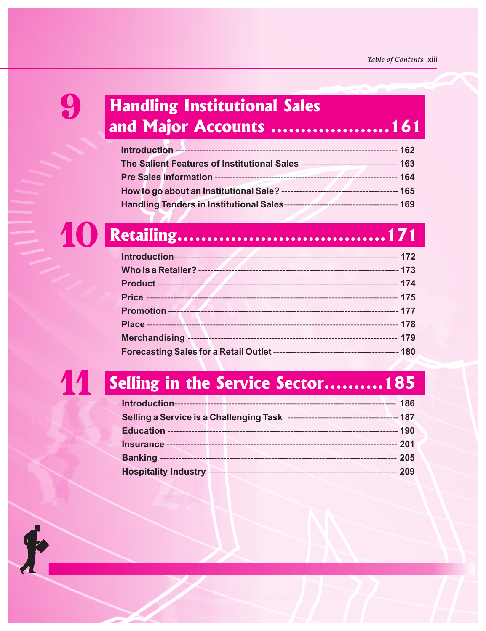### 9 **Handling Institutional Sales and Major Accounts ....................161**

| The Salient Features of Institutional Sales ------------------------------- 163 |  |
|---------------------------------------------------------------------------------|--|
|                                                                                 |  |
|                                                                                 |  |
|                                                                                 |  |
|                                                                                 |  |
|                                                                                 |  |
|                                                                                 |  |

| Who is a Retailer? -- |  |
|-----------------------|--|
|                       |  |
|                       |  |
|                       |  |
|                       |  |
| <b>Merchandising</b>  |  |
|                       |  |

 $\blacklozenge$ 

# 11 **Selling in the Service Sector..........185**

|  |  | 186 |
|--|--|-----|
|  |  |     |
|  |  |     |
|  |  |     |
|  |  | 205 |
|  |  | 209 |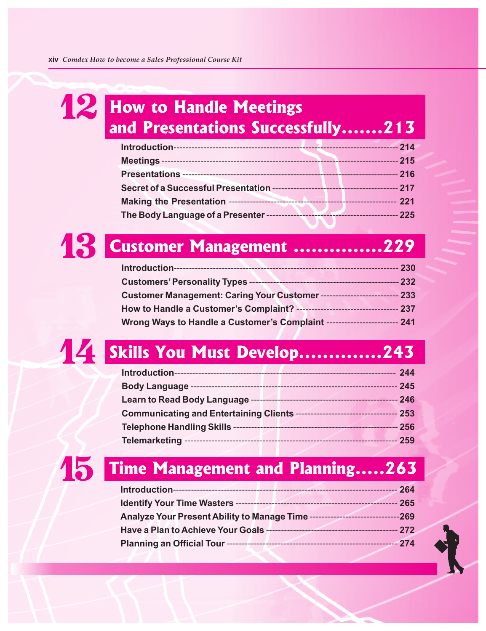### **12** How to Handle Meetings **and Presentations Successfully.......213**

|                                                   | 214                                 |
|---------------------------------------------------|-------------------------------------|
|                                                   | 215<br>.                            |
|                                                   | 216                                 |
|                                                   | 217                                 |
| Making the Presentation ----------------------    | 221<br>---------------------------- |
| The Body Language of a Presenter ---------------- | 225<br>---------------------        |



### **Introduction**--------------------------------------------------------------------------- **230 Customers' Personality Types** -------------------------------------------------- **232 Customer Management: Caring Your Customer** -------------------------- **233 How to Handle a Customer's Complaint?** ---------------------------------- **237 Wrong Ways to Handle a Customer's Complaint** ------------------------ **241**

# 14 **Skills You Must Develop..............243**

|                                                                                | 244    |
|--------------------------------------------------------------------------------|--------|
|                                                                                | $-245$ |
|                                                                                |        |
| Communicating and Entertaining Clients ----------------------------------- 253 |        |
|                                                                                | $-256$ |
|                                                                                | $-259$ |
| 15 Time Management and Planning263                                             |        |

|                                                                                 | 264  |
|---------------------------------------------------------------------------------|------|
| <b>Identify Your Time Wasters ------</b>                                        | 265  |
| <b>Analyze Your Present Ability to Manage Time ---</b><br>--------------------- | -269 |
| Have a Plan to Achieve Your Goals -<br>--------------------------               | 272  |
| Planning an Official Tour ------<br>-------------------------------------       | 274  |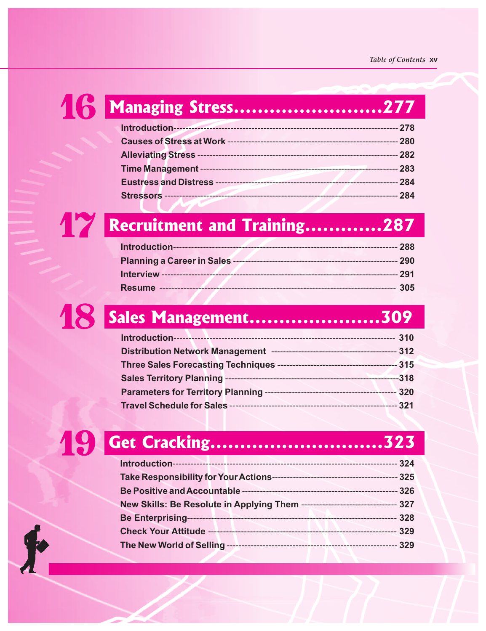| 4 6 Managing Stress277             |  |
|------------------------------------|--|
|                                    |  |
|                                    |  |
|                                    |  |
|                                    |  |
|                                    |  |
|                                    |  |
| <b>Recruitment and Training287</b> |  |

# 18 **Sales Management......................309**

|                                 | 310    |
|---------------------------------|--------|
|                                 | 312    |
|                                 | 315    |
| <b>Sales Territory Planning</b> | $-318$ |
|                                 | 320    |
| Travel Schedule for Sales --    | 321    |

# 19 **Get Cracking.............................323**

|                                                                              | 324 |
|------------------------------------------------------------------------------|-----|
| Take Responsibility for Your Actions-                                        | 325 |
|                                                                              | 326 |
| New Skills: Be Resolute in Applying Them ------------------------------- 327 |     |
| <b>Be Enterprising-</b>                                                      | 328 |
| <b>Check Your Attitude</b>                                                   | 329 |
| The New World of Selling                                                     | 329 |

 $\blacklozenge$